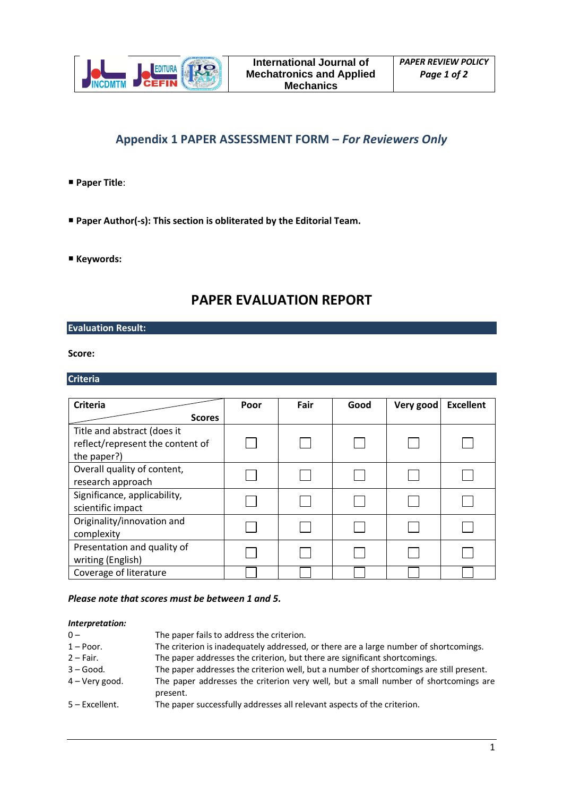

# **Appendix 1 PAPER ASSESSMENT FORM –** *For Reviewers Only*

- **Paper Title**:
- **Paper Author(-s): This section is obliterated by the Editorial Team.**
- **Keywords:**

# **PAPER EVALUATION REPORT**

## **Evaluation Result:**

**Score:** 

### **Criteria**

| <b>Criteria</b>                                                                | Poor | Fair | Good | Very good | <b>Excellent</b> |
|--------------------------------------------------------------------------------|------|------|------|-----------|------------------|
| <b>Scores</b>                                                                  |      |      |      |           |                  |
| Title and abstract (does it<br>reflect/represent the content of<br>the paper?) |      |      |      |           |                  |
| Overall quality of content,<br>research approach                               |      |      |      |           |                  |
| Significance, applicability,<br>scientific impact                              |      |      |      |           |                  |
| Originality/innovation and<br>complexity                                       |      |      |      |           |                  |
| Presentation and quality of<br>writing (English)                               |      |      |      |           |                  |
| Coverage of literature                                                         |      |      |      |           |                  |

#### *Please note that scores must be between 1 and 5.*

#### *Interpretation:*

| $0 -$            | The paper fails to address the criterion.                                                       |
|------------------|-------------------------------------------------------------------------------------------------|
| $1 -$ Poor.      | The criterion is inadequately addressed, or there are a large number of shortcomings.           |
| $2 - Fair$ .     | The paper addresses the criterion, but there are significant shortcomings.                      |
| $3 - Good.$      | The paper addresses the criterion well, but a number of shortcomings are still present.         |
| $4 -$ Very good. | The paper addresses the criterion very well, but a small number of shortcomings are<br>present. |
| $5$ – Excellent. | The paper successfully addresses all relevant aspects of the criterion.                         |